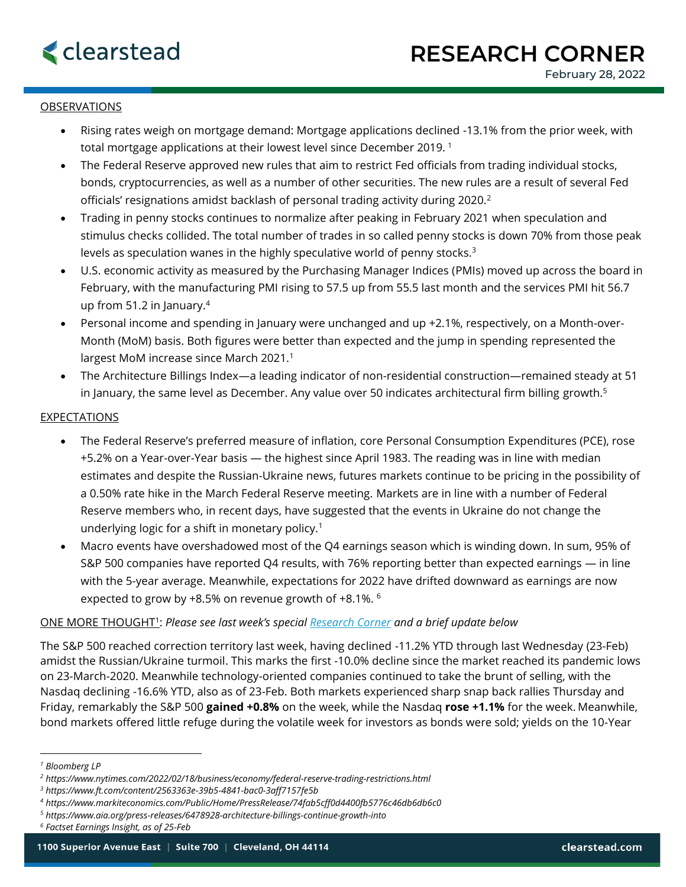## **OBSERVATIONS**

- Rising rates weigh on mortgage demand: Mortgage applications declined -13.1% from the prior week, with total mortgage applications at their lowest level since December 2019.<sup>1</sup>
- The Federal Reserve approved new rules that aim to restrict Fed officials from trading individual stocks, bonds, cryptocurrencies, as well as a number of other securities. The new rules are a result of several Fed officials' resignations amidst backlash of personal trading activity during  $2020<sup>2</sup>$
- Trading in penny stocks continues to normalize after peaking in February 2021 when speculation and stimulus checks collided. The total number of trades in so called penny stocks is down 70% from those peak levels as speculation wanes in the highly speculative world of penny stocks.<sup>3</sup>
- U.S. economic activity as measured by the Purchasing Manager Indices (PMIs) moved up across the board in February, with the manufacturing PMI rising to 57.5 up from 55.5 last month and the services PMI hit 56.7 up from 51.2 in January.<sup>4</sup>
- Personal income and spending in January were unchanged and up +2.1%, respectively, on a Month-over-Month (MoM) basis. Both figures were better than expected and the jump in spending represented the largest MoM increase since March 2021.<sup>1</sup>
- The Architecture Billings Index—a leading indicator of non-residential construction—remained steady at 51 in January, the same level as December. Any value over 50 indicates architectural firm billing growth.<sup>5</sup>

## **EXPECTATIONS**

- The Federal Reserve's preferred measure of inflation, core Personal Consumption Expenditures (PCE), rose +5.2% on a Year-over-Year basis — the highest since April 1983. The reading was in line with median estimates and despite the Russian-Ukraine news, futures markets continue to be pricing in the possibility of a 0.50% rate hike in the March Federal Reserve meeting. Markets are in line with a number of Federal Reserve members who, in recent days, have suggested that the events in Ukraine do not change the underlying logic for a shift in monetary policy.<sup>1</sup>
- Macro events have overshadowed most of the Q4 earnings season which is winding down. In sum, 95% of S&P 500 companies have reported Q4 results, with 76% reporting better than expected earnings — in line with the 5-year average. Meanwhile, expectations for 2022 have drifted downward as earnings are now expected to grow by +8.5% on revenue growth of +8.1%. <sup>6</sup>

## ONE MORE THOUGHT<sup>1</sup> : *Please see last week's special [Research Corner](http://clearstead.com/wp-content/uploads/2022/02/RESEARCH-Corner-02-24-2022-Special-Edition.pdf) and a brief update below*

The S&P 500 reached correction territory last week, having declined -11.2% YTD through last Wednesday (23-Feb) amidst the Russian/Ukraine turmoil. This marks the first -10.0% decline since the market reached its pandemic lows on 23-March-2020. Meanwhile technology-oriented companies continued to take the brunt of selling, with the Nasdaq declining -16.6% YTD, also as of 23-Feb. Both markets experienced sharp snap back rallies Thursday and Friday, remarkably the S&P 500 **gained +0.8%** on the week, while the Nasdaq **rose +1.1%** for the week. Meanwhile, bond markets offered little refuge during the volatile week for investors as bonds were sold; yields on the 10-Year

*<sup>1</sup> Bloomberg LP*

*<sup>2</sup> https://www.nytimes.com/2022/02/18/business/economy/federal-reserve-trading-restrictions.html*

*<sup>3</sup> https://www.ft.com/content/2563363e-39b5-4841-bac0-3aff7157fe5b*

*<sup>4</sup> https://www.markiteconomics.com/Public/Home/PressRelease/74fab5cff0d4400fb5776c46db6db6c0*

*<sup>5</sup> https://www.aia.org/press-releases/6478928-architecture-billings-continue-growth-into*

*<sup>6</sup> Factset Earnings Insight, as of 25-Feb*